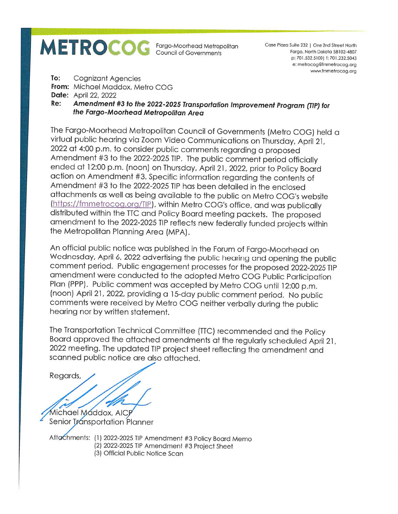## **METROCOG**

Fargo-Moorhead Metropolitan Council of Governments

Case Plaza Suite 232 | One 2nd Street North Fargo, North Dakota 58102-4807 p: 701.532.5100 | f: 701.232.5043 e: metrocog@fmmetrocog.org www.fmmetrocog.org

To: **Cognizant Agencies** 

From: Michael Maddox, Metro COG

**Date:** April 22, 2022

Amendment #3 to the 2022-2025 Transportation Improvement Program (TIP) for Re: the Fargo-Moorhead Metropolitan Area

The Fargo-Moorhead Metropolitan Council of Governments (Metro COG) held a virtual public hearing via Zoom Video Communications on Thursday, April 21, 2022 at 4:00 p.m. to consider public comments regarding a proposed Amendment #3 to the 2022-2025 TIP. The public comment period officially ended at 12:00 p.m. (noon) on Thursday, April 21, 2022, prior to Policy Board action on Amendment #3. Specific information regarding the contents of Amendment #3 to the 2022-2025 TIP has been detailed in the enclosed attachments as well as being available to the public on Metro COG's website (https://fmmetrocog.org/TIP), within Metro COG's office, and was publically distributed within the TTC and Policy Board meeting packets. The proposed amendment to the 2022-2025 TIP reflects new federally funded projects within the Metropolitan Planning Area (MPA).

An official public notice was published in the Forum of Fargo-Moorhead on Wednesday, April 6, 2022 advertising the public hearing and opening the public comment period. Public engagement processes for the proposed 2022-2025 TIP amendment were conducted to the adopted Metro COG Public Participation Plan (PPP). Public comment was accepted by Metro COG until 12:00 p.m. (noon) April 21, 2022, providing a 15-day public comment period. No public comments were received by Metro COG neither verbally during the public hearing nor by written statement.

The Transportation Technical Committee (TTC) recommended and the Policy Board approved the attached amendments at the regularly scheduled April 21, 2022 meeting. The updated TIP project sheet reflecting the amendment and scanned public notice are also attached.

Regards,

Michael Maddox, AICP Senior Transportation Planner

Attachments: (1) 2022-2025 TIP Amendment #3 Policy Board Memo (2) 2022-2025 TIP Amendment #3 Project Sheet (3) Official Public Notice Scan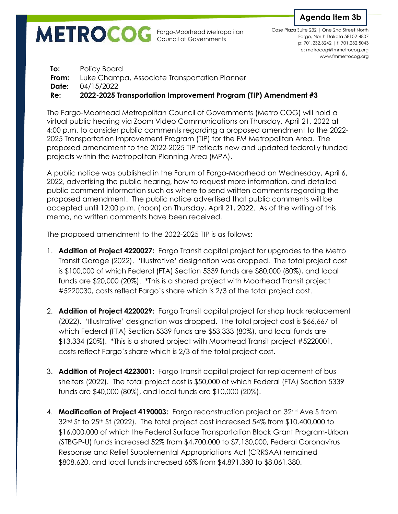Fargo-Moorhead Metropolitan Council of Governments

**Agenda Item 3b**

p: 701.232.3242 | f: 701.232.5043 e: metrocog@fmmetrocog.org www.fmmetrocog.org Case Plaza Suite 232 | One 2nd Street North Fargo, North Dakota 58102-4807

**To:** Policy Board **From:** Luke Champa, Associate Transportation Planner **Date:** 04/15/2022 **Re: 2022-2025 Transportation Improvement Program (TIP) Amendment #3**

The Fargo-Moorhead Metropolitan Council of Governments (Metro COG) will hold a virtual public hearing via Zoom Video Communications on Thursday, April 21, 2022 at 4:00 p.m. to consider public comments regarding a proposed amendment to the 2022- 2025 Transportation Improvement Program (TIP) for the FM Metropolitan Area. The proposed amendment to the 2022-2025 TIP reflects new and updated federally funded projects within the Metropolitan Planning Area (MPA).

A public notice was published in the Forum of Fargo-Moorhead on Wednesday, April 6, 2022, advertising the public hearing, how to request more information, and detailed public comment information such as where to send written comments regarding the proposed amendment. The public notice advertised that public comments will be accepted until 12:00 p.m. (noon) on Thursday, April 21, 2022. As of the writing of this memo, no written comments have been received.

The proposed amendment to the 2022-2025 TIP is as follows:

- 1. **Addition of Project 4220027:** Fargo Transit capital project for upgrades to the Metro Transit Garage (2022). 'Illustrative' designation was dropped. The total project cost is \$100,000 of which Federal (FTA) Section 5339 funds are \$80,000 (80%), and local funds are \$20,000 (20%). \*This is a shared project with Moorhead Transit project #5220030, costs reflect Fargo's share which is 2/3 of the total project cost.
- 2. **Addition of Project 4220029:** Fargo Transit capital project for shop truck replacement (2022). 'Illustrative' designation was dropped. The total project cost is \$66,667 of which Federal (FTA) Section 5339 funds are \$53,333 (80%), and local funds are \$13,334 (20%). \*This is a shared project with Moorhead Transit project #5220001, costs reflect Fargo's share which is 2/3 of the total project cost.
- 3. **Addition of Project 4223001:** Fargo Transit capital project for replacement of bus shelters (2022). The total project cost is \$50,000 of which Federal (FTA) Section 5339 funds are \$40,000 (80%), and local funds are \$10,000 (20%).
- 4. **Modification of Project 4190003:** Fargo reconstruction project on 32nd Ave S from  $32<sup>nd</sup>$  St to 25<sup>th</sup> St (2022). The total project cost increased 54% from \$10,400,000 to \$16,000,000 of which the Federal Surface Transportation Block Grant Program-Urban (STBGP-U) funds increased 52% from \$4,700,000 to \$7,130,000, Federal Coronavirus Response and Relief Supplemental Appropriations Act (CRRSAA) remained \$808,620, and local funds increased 65% from \$4,891,380 to \$8,061,380.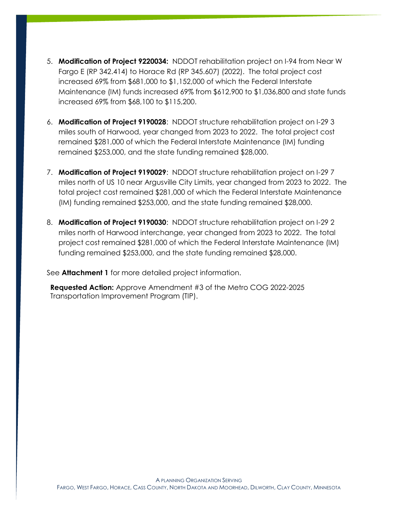- 5. **Modification of Project 9220034:** NDDOT rehabilitation project on I-94 from Near W Fargo E (RP 342.414) to Horace Rd (RP 345.607) (2022). The total project cost increased 69% from \$681,000 to \$1,152,000 of which the Federal Interstate Maintenance (IM) funds increased 69% from \$612,900 to \$1,036,800 and state funds increased 69% from \$68,100 to \$115,200.
- 6. **Modification of Project 9190028**: NDDOT structure rehabilitation project on I-29 3 miles south of Harwood, year changed from 2023 to 2022. The total project cost remained \$281,000 of which the Federal Interstate Maintenance (IM) funding remained \$253,000, and the state funding remained \$28,000.
- 7. **Modification of Project 9190029**: NDDOT structure rehabilitation project on I-29 7 miles north of US 10 near Argusville City Limits, year changed from 2023 to 2022. The total project cost remained \$281,000 of which the Federal Interstate Maintenance (IM) funding remained \$253,000, and the state funding remained \$28,000.
- 8. **Modification of Project 9190030**: NDDOT structure rehabilitation project on I-29 2 miles north of Harwood interchange, year changed from 2023 to 2022. The total project cost remained \$281,000 of which the Federal Interstate Maintenance (IM) funding remained \$253,000, and the state funding remained \$28,000.

See **Attachment 1** for more detailed project information.

**Requested Action:** Approve Amendment #3 of the Metro COG 2022-2025 Transportation Improvement Program (TIP).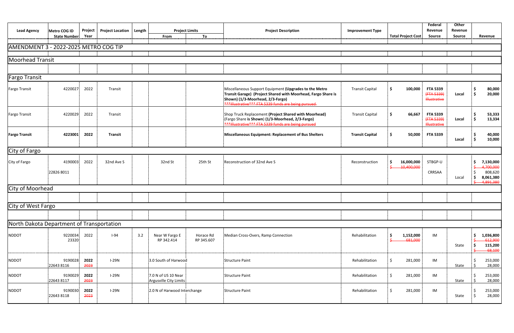| <b>Lead Agency</b>                        | Metro COG ID<br><b>State Number</b> | Project<br>Year | <b>Project Location</b> | Length | From                                          | <b>Project Limits</b><br>To | <b>Project Description</b>                                                                                                                                                                                         | <b>Improvement Type</b> | <b>Total Project Cost</b> | Federal<br>Revenue<br><b>Source</b>                     | Other<br>Revenue<br>Source | Revenue                                                            |
|-------------------------------------------|-------------------------------------|-----------------|-------------------------|--------|-----------------------------------------------|-----------------------------|--------------------------------------------------------------------------------------------------------------------------------------------------------------------------------------------------------------------|-------------------------|---------------------------|---------------------------------------------------------|----------------------------|--------------------------------------------------------------------|
| AMENDMENT 3 - 2022-2025 METRO COG TIP     |                                     |                 |                         |        |                                               |                             |                                                                                                                                                                                                                    |                         |                           |                                                         |                            |                                                                    |
| <b>Moorhead Transit</b>                   |                                     |                 |                         |        |                                               |                             |                                                                                                                                                                                                                    |                         |                           |                                                         |                            |                                                                    |
|                                           |                                     |                 |                         |        |                                               |                             |                                                                                                                                                                                                                    |                         |                           |                                                         |                            |                                                                    |
| <b>Fargo Transit</b>                      |                                     |                 |                         |        |                                               |                             |                                                                                                                                                                                                                    |                         |                           |                                                         |                            |                                                                    |
| <b>Fargo Transit</b>                      | 4220027                             | 2022            | Transit                 |        |                                               |                             | Miscellaneous Support Equipment (Upgrades to the Metro<br>Transit Garage) (Project Shared with Moorhead, Fargo Share is<br>Shown) (1/3-Moorhead, 2/3-Fargo)<br>***Illustrative*** FTA 5339 funds are being pursued | <b>Transit Capital</b>  | \$<br>100,000             | <b>FTA 5339</b><br>(FTA 5339)<br>Hlustrative            | Local                      | 80,000<br>20,000<br>i S                                            |
| <b>Fargo Transit</b>                      | 4220029                             | 2022            | Transit                 |        |                                               |                             | Shop Truck Replacement (Project Shared with Moorhead)<br>(Fargo Share is Shown) (1/3-Moorhead, 2/3-Fargo)<br>***Illustrative*** FTA 5339 funds are being pursued                                                   | <b>Transit Capital</b>  | 66,667<br>Ŝ.              | <b>FTA 5339</b><br>$4$ FTA 5339)<br><b>Illustrative</b> | Local                      | 53,333<br>13,334<br>\$ ا                                           |
| <b>Fargo Transit</b>                      | 4223001                             | 2022            | <b>Transit</b>          |        |                                               |                             | Miscellaneous Equipment: Replacement of Bus Shelters                                                                                                                                                               | <b>Transit Capital</b>  | \$<br>50,000              | <b>FTA 5339</b>                                         | Local                      | 40,000<br>10,000<br>i S                                            |
| City of Fargo                             |                                     |                 |                         |        |                                               |                             |                                                                                                                                                                                                                    |                         |                           |                                                         |                            |                                                                    |
| City of Fargo                             | 4190003<br>22826 8011               | 2022            | 32nd Ave S              |        | 32nd St                                       | 25th St                     | Reconstruction of 32nd Ave S                                                                                                                                                                                       | Reconstruction          | 16,000,000<br>10,400,000  | STBGP-U<br>CRRSAA                                       | Local                      | 7,130,000<br>4,700,000<br>808,620<br>8,061,380<br>i S<br>4,891,380 |
| City of Moorhead                          |                                     |                 |                         |        |                                               |                             |                                                                                                                                                                                                                    |                         |                           |                                                         |                            |                                                                    |
|                                           |                                     |                 |                         |        |                                               |                             |                                                                                                                                                                                                                    |                         |                           |                                                         |                            |                                                                    |
| City of West Fargo                        |                                     |                 |                         |        |                                               |                             |                                                                                                                                                                                                                    |                         |                           |                                                         |                            |                                                                    |
|                                           |                                     |                 |                         |        |                                               |                             |                                                                                                                                                                                                                    |                         |                           |                                                         |                            |                                                                    |
| North Dakota Department of Transportation |                                     |                 |                         |        |                                               |                             |                                                                                                                                                                                                                    |                         |                           |                                                         |                            |                                                                    |
| <b>NDDOT</b>                              | 9220034<br>23320                    | 2022            | $I-94$                  | 3.2    | Near W Fargo E<br>RP 342.414                  | Horace Rd<br>RP 345.607     | Median Cross-Overs, Ramp Connection                                                                                                                                                                                | Rehabilitation          | 1,152,000<br>681,000      | IM                                                      | State                      | 1,036,800<br>-S<br>612,900<br>115,200<br>$-68,100$                 |
| <b>NDDOT</b>                              | 9190028<br>22643 8116               | 2022<br>2023    | $I-29N$                 |        | 3.0 South of Harwood                          |                             | <b>Structure Paint</b>                                                                                                                                                                                             | Rehabilitation          | 281,000<br>Ŝ.             | IM                                                      | State                      | 253,000<br>28,000                                                  |
| <b>NDDOT</b>                              | 9190029<br>22643 8117               | 2022<br>2023    | $I-29N$                 |        | 7.0 N of US 10 Near<br>Argusville City Limits |                             | Structure Paint                                                                                                                                                                                                    | Rehabilitation          | 281,000<br>S.             | IM                                                      | State                      | 253,000<br>28,000<br>i \$                                          |
| <b>NDDOT</b>                              | 9190030<br>22643 8118               | 2022<br>2023    | $I-29N$                 |        | 2.0 N of Harwood Interchange                  |                             | <b>Structure Paint</b>                                                                                                                                                                                             | Rehabilitation          | \$<br>281,000             | IM                                                      | State                      | 253,000<br>¦ \$<br>28,000                                          |